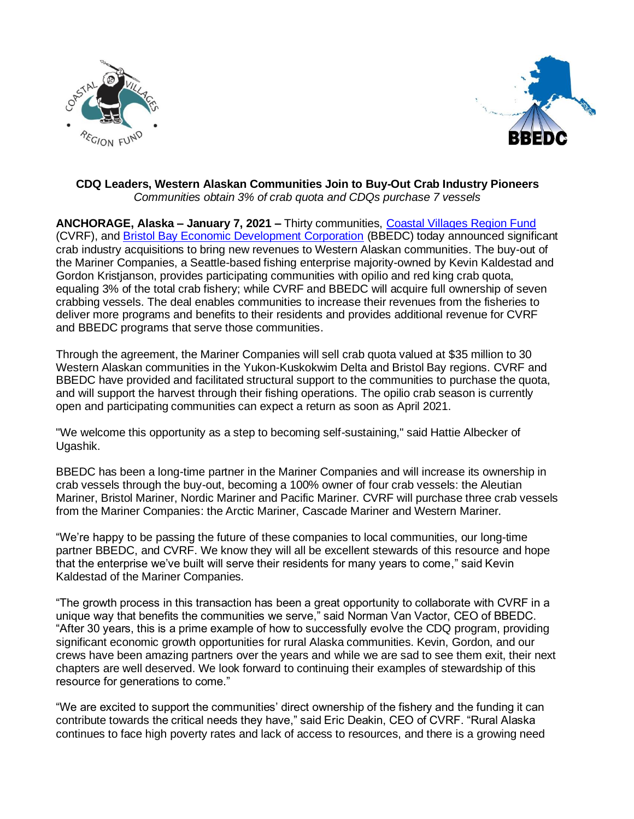



## **CDQ Leaders, Western Alaskan Communities Join to Buy-Out Crab Industry Pioneers** *Communities obtain 3% of crab quota and CDQs purchase 7 vessels*

**ANCHORAGE, Alaska – January 7, 2021 –** Thirty communities, [Coastal Villages Region Fund](https://www.coastalvillages.org/wp-content/uploads/2020/12/Vaccine-Distribution-Media-Advisory.pdf) (CVRF), and [Bristol Bay Economic Development Corporation](https://www.bbedc.com/) (BBEDC) today announced significant crab industry acquisitions to bring new revenues to Western Alaskan communities. The buy-out of the Mariner Companies, a Seattle-based fishing enterprise majority-owned by Kevin Kaldestad and Gordon Kristjanson, provides participating communities with opilio and red king crab quota, equaling 3% of the total crab fishery; while CVRF and BBEDC will acquire full ownership of seven crabbing vessels. The deal enables communities to increase their revenues from the fisheries to deliver more programs and benefits to their residents and provides additional revenue for CVRF and BBEDC programs that serve those communities.

Through the agreement, the Mariner Companies will sell crab quota valued at \$35 million to 30 Western Alaskan communities in the Yukon-Kuskokwim Delta and Bristol Bay regions. CVRF and BBEDC have provided and facilitated structural support to the communities to purchase the quota, and will support the harvest through their fishing operations. The opilio crab season is currently open and participating communities can expect a return as soon as April 2021.

"We welcome this opportunity as a step to becoming self-sustaining," said Hattie Albecker of Ugashik.

BBEDC has been a long-time partner in the Mariner Companies and will increase its ownership in crab vessels through the buy-out, becoming a 100% owner of four crab vessels: the Aleutian Mariner, Bristol Mariner, Nordic Mariner and Pacific Mariner. CVRF will purchase three crab vessels from the Mariner Companies: the Arctic Mariner, Cascade Mariner and Western Mariner.

"We're happy to be passing the future of these companies to local communities, our long-time partner BBEDC, and CVRF. We know they will all be excellent stewards of this resource and hope that the enterprise we've built will serve their residents for many years to come," said Kevin Kaldestad of the Mariner Companies.

"The growth process in this transaction has been a great opportunity to collaborate with CVRF in a unique way that benefits the communities we serve," said Norman Van Vactor, CEO of BBEDC. "After 30 years, this is a prime example of how to successfully evolve the CDQ program, providing significant economic growth opportunities for rural Alaska communities. Kevin, Gordon, and our crews have been amazing partners over the years and while we are sad to see them exit, their next chapters are well deserved. We look forward to continuing their examples of stewardship of this resource for generations to come."

"We are excited to support the communities' direct ownership of the fishery and the funding it can contribute towards the critical needs they have," said Eric Deakin, CEO of CVRF. "Rural Alaska continues to face high poverty rates and lack of access to resources, and there is a growing need